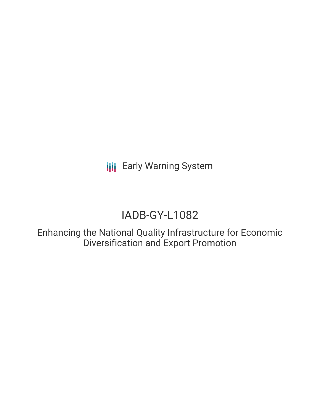**III** Early Warning System

# IADB-GY-L1082

Enhancing the National Quality Infrastructure for Economic Diversification and Export Promotion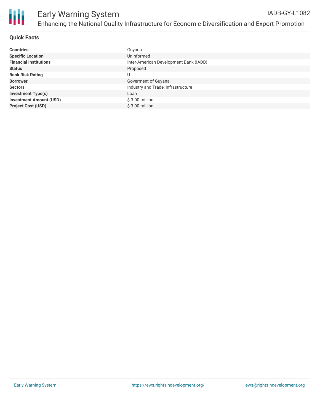

## **Quick Facts**

| <b>Countries</b>               | Guyana                                 |
|--------------------------------|----------------------------------------|
| <b>Specific Location</b>       | Uninformed                             |
| <b>Financial Institutions</b>  | Inter-American Development Bank (IADB) |
| <b>Status</b>                  | Proposed                               |
| <b>Bank Risk Rating</b>        |                                        |
| <b>Borrower</b>                | Goverment of Guyana                    |
| <b>Sectors</b>                 | Industry and Trade, Infrastructure     |
| <b>Investment Type(s)</b>      | Loan                                   |
| <b>Investment Amount (USD)</b> | $$3.00$ million                        |
| <b>Project Cost (USD)</b>      | $$3.00$ million                        |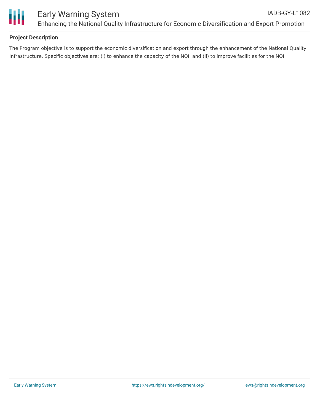

## **Project Description**

The Program objective is to support the economic diversification and export through the enhancement of the National Quality Infrastructure. Specific objectives are: (i) to enhance the capacity of the NQI; and (ii) to improve facilities for the NQI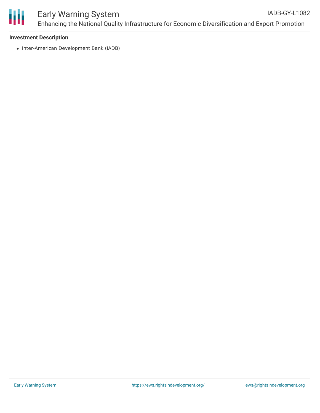

### **Investment Description**

• Inter-American Development Bank (IADB)